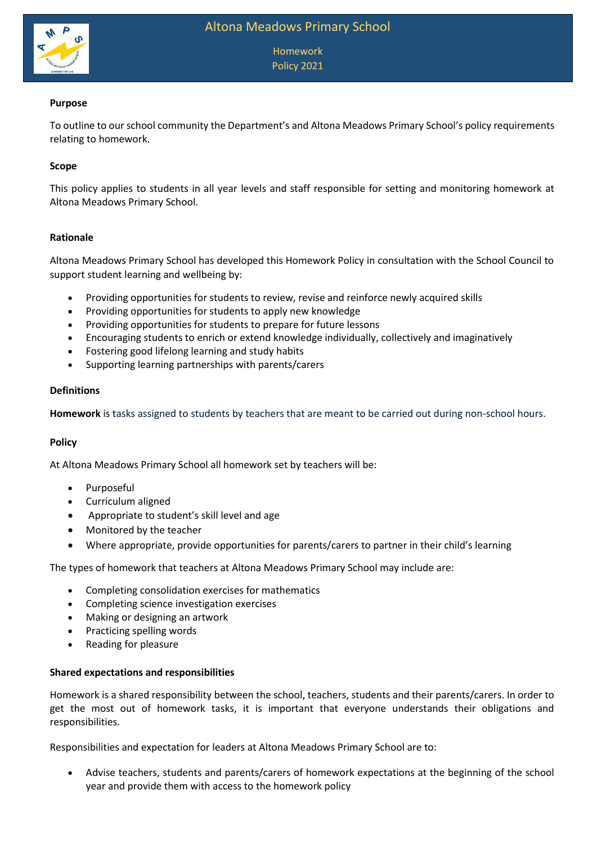

Homework Policy 2021

# **Purpose**

To outline to our school community the Department's and Altona Meadows Primary School's policy requirements relating to homework.

# **Scope**

This policy applies to students in all year levels and staff responsible for setting and monitoring homework at Altona Meadows Primary School.

### **Rationale**

Altona Meadows Primary School has developed this Homework Policy in consultation with the School Council to support student learning and wellbeing by:

- Providing opportunities for students to review, revise and reinforce newly acquired skills
- Providing opportunities for students to apply new knowledge
- Providing opportunities for students to prepare for future lessons
- Encouraging students to enrich or extend knowledge individually, collectively and imaginatively
- Fostering good lifelong learning and study habits
- Supporting learning partnerships with parents/carers

#### **Definitions**

**Homework** is tasks assigned to students by teachers that are meant to be carried out during non-school hours.

### **Policy**

At Altona Meadows Primary School all homework set by teachers will be:

- Purposeful
- Curriculum aligned
- Appropriate to student's skill level and age
- Monitored by the teacher
- Where appropriate, provide opportunities for parents/carers to partner in their child's learning

The types of homework that teachers at Altona Meadows Primary School may include are:

- Completing consolidation exercises for mathematics
- Completing science investigation exercises
- Making or designing an artwork
- Practicing spelling words
- Reading for pleasure

### **Shared expectations and responsibilities**

Homework is a shared responsibility between the school, teachers, students and their parents/carers. In order to get the most out of homework tasks, it is important that everyone understands their obligations and responsibilities.

Responsibilities and expectation for leaders at Altona Meadows Primary School are to:

 Advise teachers, students and parents/carers of homework expectations at the beginning of the school year and provide them with access to the homework policy